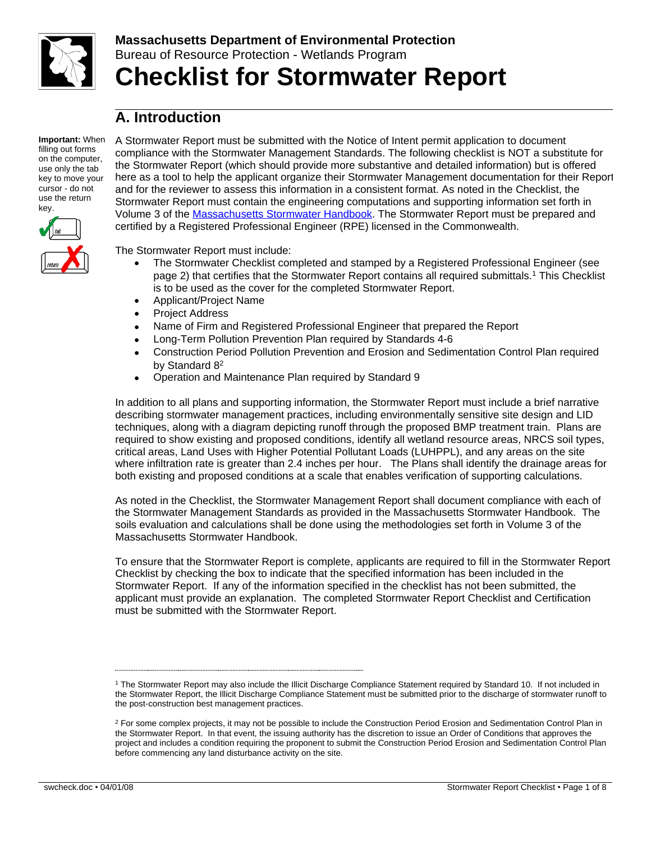

# **Massachusetts Department of Environmental Protection** Bureau of Resource Protection - Wetlands Program **Checklist for Stormwater Report**

# **A. Introduction**

**Important:** When filling out forms on the computer, use only the tab key to move your cursor - do not use the return key.



A Stormwater Report must be submitted with the Notice of Intent permit application to document compliance with the Stormwater Management Standards. The following checklist is NOT a substitute for the Stormwater Report (which should provide more substantive and detailed information) but is offered here as a tool to help the applicant organize their Stormwater Management documentation for their Report and for the reviewer to assess this information in a consistent format. As noted in the Checklist, the Stormwater Report must contain the engineering computations and supporting information set forth in Volume 3 of the [Massachusetts Stormwater Handbook](http://www.mass.gov/eea/agencies/massdep/water/regulations/massachusetts-stormwater-handbook.html). The Stormwater Report must be prepared and certified by a Registered Professional Engineer (RPE) licensed in the Commonwealth.

The Stormwater Report must include:

- The Stormwater Checklist completed and stamped by a Registered Professional Engineer (see page 2) that certifies that the Stormwater Report contains all required submittals.<sup>1</sup> This Checklist is to be used as the cover for the completed Stormwater Report.
- Applicant/Project Name
- Project Address
- Name of Firm and Registered Professional Engineer that prepared the Report
- Long-Term Pollution Prevention Plan required by Standards 4-6
- Construction Period Pollution Prevention and Erosion and Sedimentation Control Plan required by Standard 8<sup>2</sup>
- Operation and Maintenance Plan required by Standard 9

In addition to all plans and supporting information, the Stormwater Report must include a brief narrative describing stormwater management practices, including environmentally sensitive site design and LID techniques, along with a diagram depicting runoff through the proposed BMP treatment train. Plans are required to show existing and proposed conditions, identify all wetland resource areas, NRCS soil types, critical areas, Land Uses with Higher Potential Pollutant Loads (LUHPPL), and any areas on the site where infiltration rate is greater than 2.4 inches per hour. The Plans shall identify the drainage areas for both existing and proposed conditions at a scale that enables verification of supporting calculations.

As noted in the Checklist, the Stormwater Management Report shall document compliance with each of the Stormwater Management Standards as provided in the Massachusetts Stormwater Handbook. The soils evaluation and calculations shall be done using the methodologies set forth in Volume 3 of the Massachusetts Stormwater Handbook.

To ensure that the Stormwater Report is complete, applicants are required to fill in the Stormwater Report Checklist by checking the box to indicate that the specified information has been included in the Stormwater Report. If any of the information specified in the checklist has not been submitted, the applicant must provide an explanation. The completed Stormwater Report Checklist and Certification must be submitted with the Stormwater Report.

<sup>1</sup> The Stormwater Report may also include the Illicit Discharge Compliance Statement required by Standard 10. If not included in the Stormwater Report, the Illicit Discharge Compliance Statement must be submitted prior to the discharge of stormwater runoff to the post-construction best management practices.

<sup>&</sup>lt;sup>2</sup> For some complex projects, it may not be possible to include the Construction Period Erosion and Sedimentation Control Plan in the Stormwater Report. In that event, the issuing authority has the discretion to issue an Order of Conditions that approves the project and includes a condition requiring the proponent to submit the Construction Period Erosion and Sedimentation Control Plan before commencing any land disturbance activity on the site.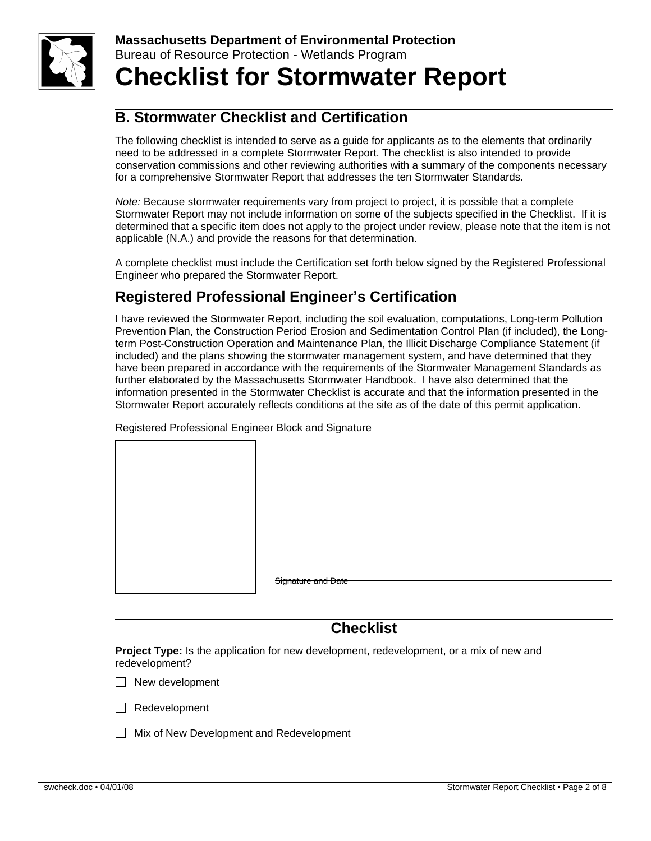

# **B. Stormwater Checklist and Certification**

The following checklist is intended to serve as a guide for applicants as to the elements that ordinarily need to be addressed in a complete Stormwater Report. The checklist is also intended to provide conservation commissions and other reviewing authorities with a summary of the components necessary for a comprehensive Stormwater Report that addresses the ten Stormwater Standards.

*Note:* Because stormwater requirements vary from project to project, it is possible that a complete Stormwater Report may not include information on some of the subjects specified in the Checklist. If it is determined that a specific item does not apply to the project under review, please note that the item is not applicable (N.A.) and provide the reasons for that determination.

A complete checklist must include the Certification set forth below signed by the Registered Professional Engineer who prepared the Stormwater Report.

# **Registered Professional Engineer's Certification**

I have reviewed the Stormwater Report, including the soil evaluation, computations, Long-term Pollution Prevention Plan, the Construction Period Erosion and Sedimentation Control Plan (if included), the Longterm Post-Construction Operation and Maintenance Plan, the Illicit Discharge Compliance Statement (if included) and the plans showing the stormwater management system, and have determined that they have been prepared in accordance with the requirements of the Stormwater Management Standards as further elaborated by the Massachusetts Stormwater Handbook. I have also determined that the information presented in the Stormwater Checklist is accurate and that the information presented in the Stormwater Report accurately reflects conditions at the site as of the date of this permit application.

Registered Professional Engineer Block and Signature

Signature and Date

## **Checklist**

**Project Type:** Is the application for new development, redevelopment, or a mix of new and redevelopment?

 $\Box$  New development



 $\Box$  Mix of New Development and Redevelopment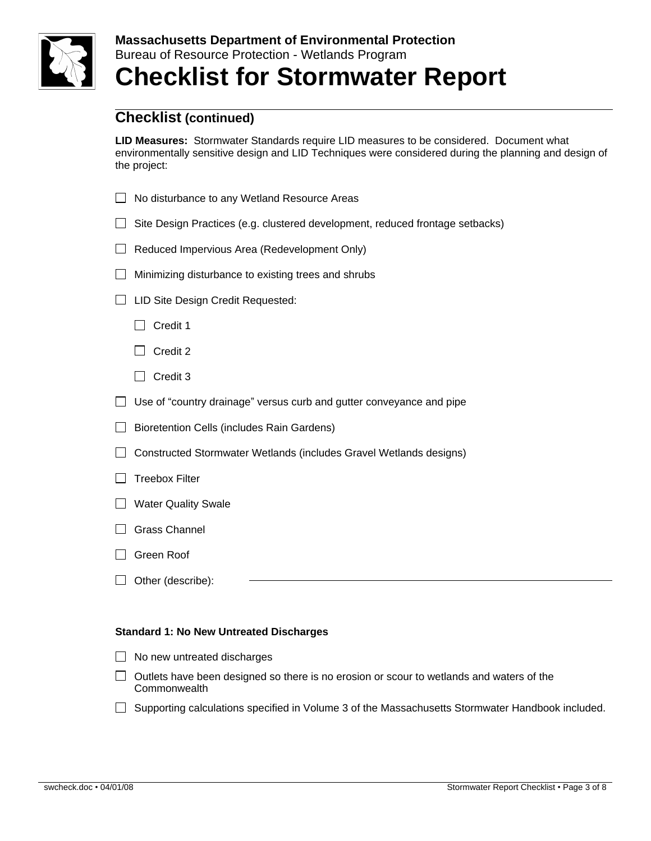

**LID Measures:** Stormwater Standards require LID measures to be considered. Document what environmentally sensitive design and LID Techniques were considered during the planning and design of the project:

- □ No disturbance to any Wetland Resource Areas
- $\Box$  Site Design Practices (e.g. clustered development, reduced frontage setbacks)
- Reduced Impervious Area (Redevelopment Only)
- $\Box$  Minimizing disturbance to existing trees and shrubs
- □ LID Site Design Credit Requested:
	- $\Box$  Credit 1
	- $\Box$  Credit 2
	- $\Box$  Credit 3
- $\Box$  Use of "country drainage" versus curb and gutter conveyance and pipe
- $\Box$  Bioretention Cells (includes Rain Gardens)
- □ Constructed Stormwater Wetlands (includes Gravel Wetlands designs)
- $\Box$  Treebox Filter
- **Nater Quality Swale**
- Grass Channel
- □ Green Roof
- $\Box$  Other (describe):

#### **Standard 1: No New Untreated Discharges**

- $\Box$  No new untreated discharges
- $\Box$  Outlets have been designed so there is no erosion or scour to wetlands and waters of the **Commonwealth**
- $\Box$  Supporting calculations specified in Volume 3 of the Massachusetts Stormwater Handbook included.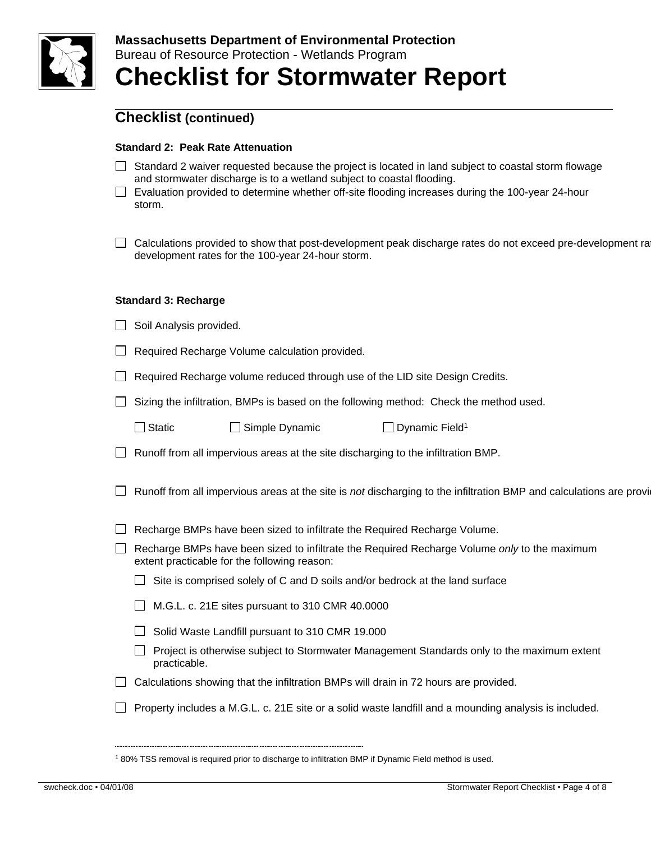

### **Standard 2: Peak Rate Attenuation**

- $\Box$  Standard 2 waiver requested because the project is located in land subject to coastal storm flowage and stormwater discharge is to a wetland subject to coastal flooding.
- $\Box$  Evaluation provided to determine whether off-site flooding increases during the 100-year 24-hour storm.
- □ Calculations provided to show that post-development peak discharge rates do not exceed pre-development ra development rates for the 100-year 24-hour storm.

#### **Standard 3: Recharge**

|  |  |  |  | Soil Analysis provided. |
|--|--|--|--|-------------------------|
|--|--|--|--|-------------------------|

- $\Box$  Required Recharge Volume calculation provided.
- $\Box$  Required Recharge volume reduced through use of the LID site Design Credits.
- $\Box$  Sizing the infiltration, BMPs is based on the following method: Check the method used.

 $\Box$  Dynamic Field<sup>1</sup>

- $\Box$  Runoff from all impervious areas at the site discharging to the infiltration BMP.
- $\Box$  Runoff from all impervious areas at the site is not discharging to the infiltration BMP and calculations are provi
- $\Box$  Recharge BMPs have been sized to infiltrate the Required Recharge Volume.
- Recharge BMPs have been sized to infiltrate the Required Recharge Volume *only* to the maximum extent practicable for the following reason:
	- $\Box$  Site is comprised solely of C and D soils and/or bedrock at the land surface
	- $\Box$  M.G.L. c. 21E sites pursuant to 310 CMR 40.0000
	- $\Box$  Solid Waste Landfill pursuant to 310 CMR 19.000
	- $\Box$  Project is otherwise subject to Stormwater Management Standards only to the maximum extent practicable.
- $\Box$  Calculations showing that the infiltration BMPs will drain in 72 hours are provided.
- $\Box$  Property includes a M.G.L. c. 21E site or a solid waste landfill and a mounding analysis is included.

<sup>1</sup> 80% TSS removal is required prior to discharge to infiltration BMP if Dynamic Field method is used.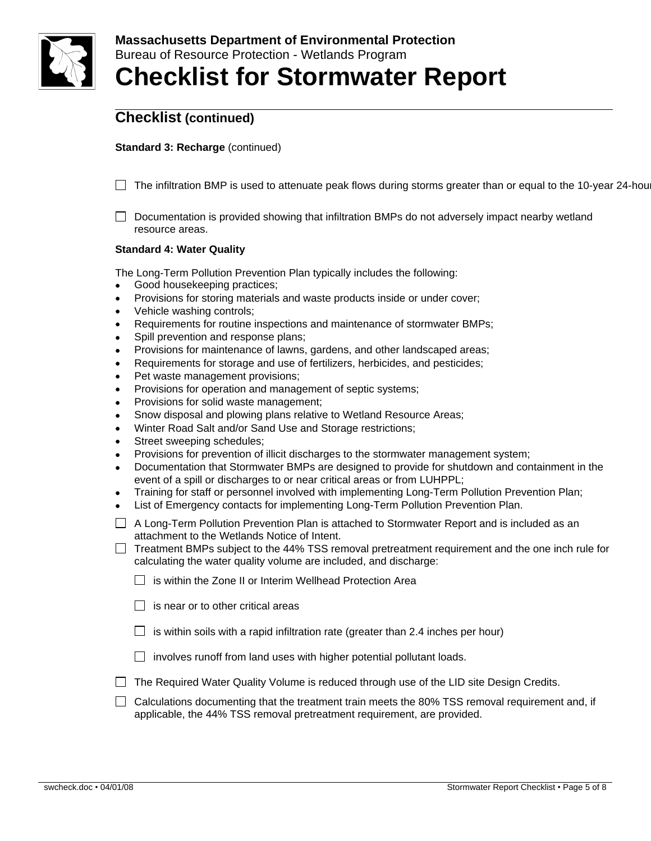

### **Standard 3: Recharge** (continued)

 $\Box$  The infiltration BMP is used to attenuate peak flows during storms greater than or equal to the 10-year 24-hour

 $\Box$  Documentation is provided showing that infiltration BMPs do not adversely impact nearby wetland resource areas.

#### **Standard 4: Water Quality**

The Long-Term Pollution Prevention Plan typically includes the following:

- Good housekeeping practices;
- Provisions for storing materials and waste products inside or under cover;
- Vehicle washing controls;
- Requirements for routine inspections and maintenance of stormwater BMPs;
- Spill prevention and response plans;
- Provisions for maintenance of lawns, gardens, and other landscaped areas;
- Requirements for storage and use of fertilizers, herbicides, and pesticides;
- Pet waste management provisions;
- Provisions for operation and management of septic systems;
- Provisions for solid waste management;
- Snow disposal and plowing plans relative to Wetland Resource Areas;
- Winter Road Salt and/or Sand Use and Storage restrictions;
- Street sweeping schedules;
- Provisions for prevention of illicit discharges to the stormwater management system;
- Documentation that Stormwater BMPs are designed to provide for shutdown and containment in the event of a spill or discharges to or near critical areas or from LUHPPL;
- Training for staff or personnel involved with implementing Long-Term Pollution Prevention Plan;
- List of Emergency contacts for implementing Long-Term Pollution Prevention Plan.
- $\Box$  A Long-Term Pollution Prevention Plan is attached to Stormwater Report and is included as an attachment to the Wetlands Notice of Intent.
- $\Box$  Treatment BMPs subject to the 44% TSS removal pretreatment requirement and the one inch rule for calculating the water quality volume are included, and discharge:
	- $\Box$  is within the Zone II or Interim Wellhead Protection Area
	- $\Box$  is near or to other critical areas
	- $\Box$  is within soils with a rapid infiltration rate (greater than 2.4 inches per hour)
	- $\Box$  involves runoff from land uses with higher potential pollutant loads.
- $\Box$  The Required Water Quality Volume is reduced through use of the LID site Design Credits.
- $\Box$  Calculations documenting that the treatment train meets the 80% TSS removal requirement and, if applicable, the 44% TSS removal pretreatment requirement, are provided.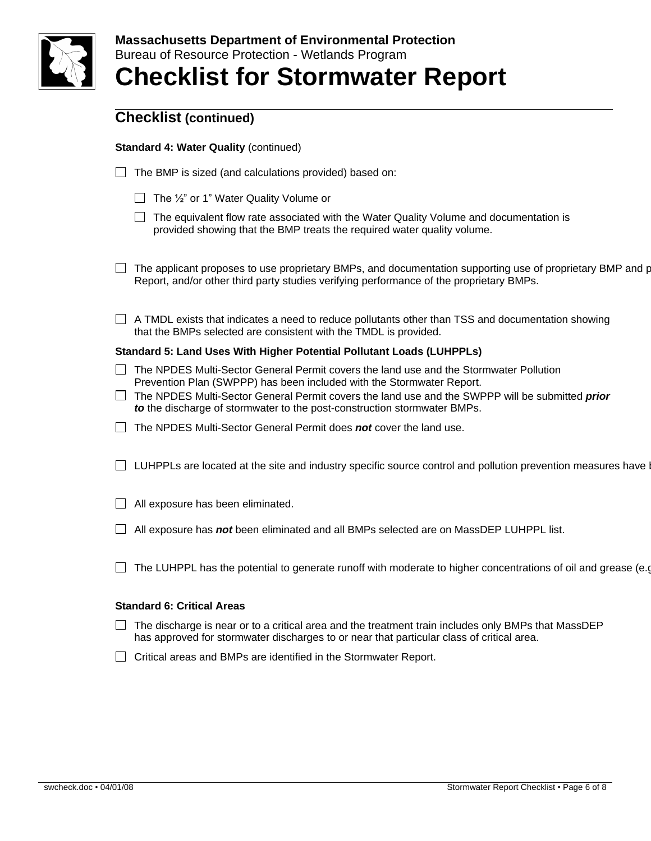

### **Standard 4: Water Quality** (continued)

- $\Box$  The BMP is sized (and calculations provided) based on:
	- $\Box$  The  $\frac{1}{2}$ " or 1" Water Quality Volume or
	- $\Box$  The equivalent flow rate associated with the Water Quality Volume and documentation is provided showing that the BMP treats the required water quality volume.
- $\Box$  The applicant proposes to use proprietary BMPs, and documentation supporting use of proprietary BMP and p Report, and/or other third party studies verifying performance of the proprietary BMPs.
- $\Box$  A TMDL exists that indicates a need to reduce pollutants other than TSS and documentation showing that the BMPs selected are consistent with the TMDL is provided.

#### **Standard 5: Land Uses With Higher Potential Pollutant Loads (LUHPPLs)**

- The NPDES Multi-Sector General Permit covers the land use and the Stormwater Pollution Prevention Plan (SWPPP) has been included with the Stormwater Report.
- The NPDES Multi-Sector General Permit covers the land use and the SWPPP will be submitted *prior to* the discharge of stormwater to the post-construction stormwater BMPs.
- The NPDES Multi-Sector General Permit does *not* cover the land use.
- $\Box$  LUHPPLs are located at the site and industry specific source control and pollution prevention measures have b
- $\Box$  All exposure has been eliminated.
- All exposure has *not* been eliminated and all BMPs selected are on MassDEP LUHPPL list.
- $\Box$  The LUHPPL has the potential to generate runoff with moderate to higher concentrations of oil and grease (e.g.

#### **Standard 6: Critical Areas**

- $\Box$  The discharge is near or to a critical area and the treatment train includes only BMPs that MassDEP has approved for stormwater discharges to or near that particular class of critical area.
- $\Box$  Critical areas and BMPs are identified in the Stormwater Report.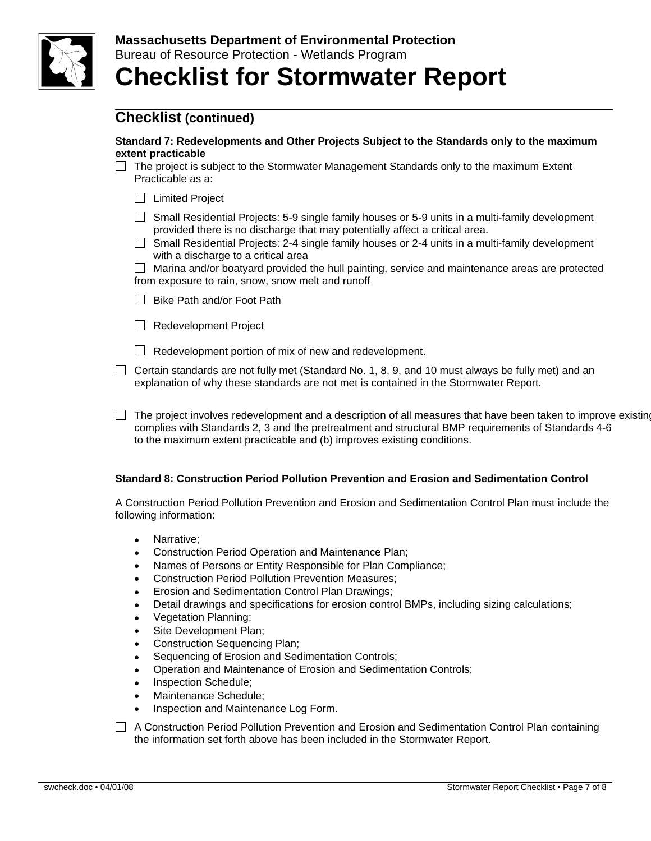

#### **Standard 7: Redevelopments and Other Projects Subject to the Standards only to the maximum extent practicable**

- $\Box$  The project is subject to the Stormwater Management Standards only to the maximum Extent Practicable as a:
	- □ Limited Project
	- $\Box$  Small Residential Projects: 5-9 single family houses or 5-9 units in a multi-family development provided there is no discharge that may potentially affect a critical area.
	- $\Box$  Small Residential Projects: 2-4 single family houses or 2-4 units in a multi-family development with a discharge to a critical area

 $\Box$  Marina and/or boatyard provided the hull painting, service and maintenance areas are protected from exposure to rain, snow, snow melt and runoff

- $\Box$  Bike Path and/or Foot Path
- Redevelopment Project

 $\Box$  Redevelopment portion of mix of new and redevelopment.

- $\Box$  Certain standards are not fully met (Standard No. 1, 8, 9, and 10 must always be fully met) and an explanation of why these standards are not met is contained in the Stormwater Report.
- $\Box$  The project involves redevelopment and a description of all measures that have been taken to improve existing complies with Standards 2, 3 and the pretreatment and structural BMP requirements of Standards 4-6 to the maximum extent practicable and (b) improves existing conditions.

### **Standard 8: Construction Period Pollution Prevention and Erosion and Sedimentation Control**

A Construction Period Pollution Prevention and Erosion and Sedimentation Control Plan must include the following information:

- Narrative:
- Construction Period Operation and Maintenance Plan;
- Names of Persons or Entity Responsible for Plan Compliance;
- Construction Period Pollution Prevention Measures;
- **Erosion and Sedimentation Control Plan Drawings;**
- Detail drawings and specifications for erosion control BMPs, including sizing calculations;
- Vegetation Planning;
- Site Development Plan;
- Construction Sequencing Plan;
- Sequencing of Erosion and Sedimentation Controls;
- Operation and Maintenance of Erosion and Sedimentation Controls;
- Inspection Schedule;
- Maintenance Schedule:
- Inspection and Maintenance Log Form.

 $\Box$  A Construction Period Pollution Prevention and Erosion and Sedimentation Control Plan containing the information set forth above has been included in the Stormwater Report.